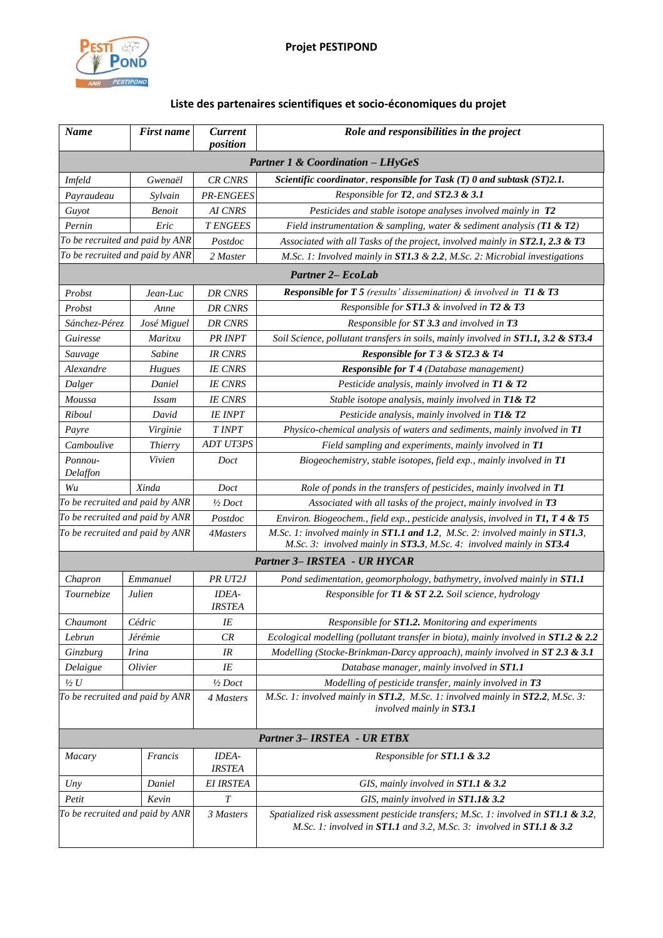

## **Liste des partenaires scientifiques et socio-économiques du projet**

| <b>Name</b>                                  | <b>First name</b> | <b>Current</b><br>position | Role and responsibilities in the project                                                                                                                   |  |  |
|----------------------------------------------|-------------------|----------------------------|------------------------------------------------------------------------------------------------------------------------------------------------------------|--|--|
|                                              |                   |                            | <b>Partner 1 &amp; Coordination - LHyGeS</b>                                                                                                               |  |  |
| <b>Imfeld</b><br>Gwenaël                     |                   | <b>CR CNRS</b>             | Scientific coordinator, responsible for Task $(T)$ 0 and subtask $(ST)2.1$ .                                                                               |  |  |
| Payraudeau<br>Sylvain                        |                   | <b>PR-ENGEES</b>           | Responsible for $T2$ , and $ST2.3 \& 3.1$                                                                                                                  |  |  |
| Guyot<br><b>Benoit</b>                       |                   | AI CNRS                    | Pesticides and stable isotope analyses involved mainly in T2                                                                                               |  |  |
| Pernin                                       | Eric              | <b>T ENGEES</b>            | Field instrumentation & sampling, water & sediment analysis ( $T1$ & $T2$ )                                                                                |  |  |
| To be recruited and paid by ANR              |                   | Postdoc                    | Associated with all Tasks of the project, involved mainly in ST2.1, 2.3 & T3                                                                               |  |  |
| To be recruited and paid by ANR              |                   | 2 Master                   | M.Sc. 1: Involved mainly in $ST1.3 \& 2.2$ , M.Sc. 2: Microbial investigations                                                                             |  |  |
| <b>Partner 2– EcoLab</b>                     |                   |                            |                                                                                                                                                            |  |  |
| Probst                                       | Jean-Luc          | <b>DR CNRS</b>             | <b>Responsible for T 5</b> (results' dissemination) $\&$ involved in T1 $\&$ T3                                                                            |  |  |
| Probst<br>Anne                               |                   | DR CNRS                    | Responsible for ST1.3 & involved in T2 & T3                                                                                                                |  |  |
| Sánchez-Pérez                                | José Miguel       | <b>DR CNRS</b>             | Responsible for ST 3.3 and involved in T3                                                                                                                  |  |  |
| Guiresse<br>Maritxu                          |                   | PR INPT                    | Soil Science, pollutant transfers in soils, mainly involved in ST1.1, 3.2 & ST3.4                                                                          |  |  |
| Sauvage                                      | Sabine            | <b>IR CNRS</b>             | Responsible for T 3 & ST2.3 & T4                                                                                                                           |  |  |
| Alexandre                                    | Hugues            | <b>IE CNRS</b>             | <b>Responsible for T 4</b> (Database management)                                                                                                           |  |  |
| Dalger                                       | Daniel            | <b>IE CNRS</b>             | Pesticide analysis, mainly involved in T1 & T2                                                                                                             |  |  |
| Moussa                                       | <b>Issam</b>      | <b>IE CNRS</b>             | Stable isotope analysis, mainly involved in T1& T2                                                                                                         |  |  |
| Riboul                                       | David             | <b>IE INPT</b>             | Pesticide analysis, mainly involved in T1& T2                                                                                                              |  |  |
| Payre<br>Virginie                            |                   | T INPT                     | Physico-chemical analysis of waters and sediments, mainly involved in T1                                                                                   |  |  |
| Camboulive                                   | Thierry           | <b>ADT UT3PS</b>           | Field sampling and experiments, mainly involved in T1                                                                                                      |  |  |
| Ponnou-<br>Delaffon                          | Vivien            | Doct                       | Biogeochemistry, stable isotopes, field exp., mainly involved in T1                                                                                        |  |  |
| Xinda<br>Wu                                  |                   | Doct                       | Role of ponds in the transfers of pesticides, mainly involved in T1                                                                                        |  |  |
| To be recruited and paid by ANR              |                   | $\frac{1}{2}$ Doct         | Associated with all tasks of the project, mainly involved in T3                                                                                            |  |  |
| To be recruited and paid by ANR              |                   | Postdoc                    | Environ. Biogeochem., field exp., pesticide analysis, involved in $T1$ , $T4 & T5$                                                                         |  |  |
| To be recruited and paid by ANR              |                   | 4Masters                   | M.Sc. 1: involved mainly in ST1.1 and 1.2, M.Sc. 2: involved mainly in ST1.3,<br>M.Sc. 3: involved mainly in ST3.3, M.Sc. 4: involved mainly in ST3.4      |  |  |
|                                              |                   |                            | Partner 3- IRSTEA - UR HYCAR                                                                                                                               |  |  |
| Chapron                                      | Emmanuel          | PR UT2J                    | Pond sedimentation, geomorphology, bathymetry, involved mainly in ST1.1                                                                                    |  |  |
| Tournebize                                   | Julien            | IDEA-<br><b>IRSTEA</b>     | Responsible for T1 & ST 2.2. Soil science, hydrology                                                                                                       |  |  |
| Chaumont                                     | Cédric            | IE                         | Responsible for ST1.2. Monitoring and experiments                                                                                                          |  |  |
| Lebrun                                       | Jérémie           | CR                         | Ecological modelling (pollutant transfer in biota), mainly involved in ST1.2 & 2.2                                                                         |  |  |
| Ginzburg                                     | <b>Irina</b>      |                            | Modelling (Stocke-Brinkman-Darcy approach), mainly involved in ST 2.3 & 3.1                                                                                |  |  |
| Delaigue                                     | Olivier           | IE                         | Database manager, mainly involved in ST1.1                                                                                                                 |  |  |
| $\frac{1}{2}U$                               |                   | $\frac{1}{2}$ Doct         | Modelling of pesticide transfer, mainly involved in T3                                                                                                     |  |  |
| To be recruited and paid by ANR              |                   | 4 Masters                  | M.Sc. 1: involved mainly in ST1.2, M.Sc. 1: involved mainly in ST2.2, M.Sc. 3:<br>involved mainly in ST3.1                                                 |  |  |
| <b>Partner 3- IRSTEA - UR ETBX</b>           |                   |                            |                                                                                                                                                            |  |  |
| <b>Macary</b>                                | Francis           | IDEA-<br><b>IRSTEA</b>     | Responsible for <b>ST1.1 &amp; 3.2</b>                                                                                                                     |  |  |
| Uny                                          | Daniel            | <b>EI IRSTEA</b>           | GIS, mainly involved in $ST1.1 \& 3.2$                                                                                                                     |  |  |
| Petit                                        | Kevin             | $\cal T$                   | GIS, mainly involved in ST1.1& 3.2                                                                                                                         |  |  |
| To be recruited and paid by ANR<br>3 Masters |                   |                            | Spatialized risk assessment pesticide transfers; M.Sc. 1: involved in ST1.1 & 3.2,<br>M.Sc. 1: involved in ST1.1 and 3.2, M.Sc. 3: involved in ST1.1 & 3.2 |  |  |